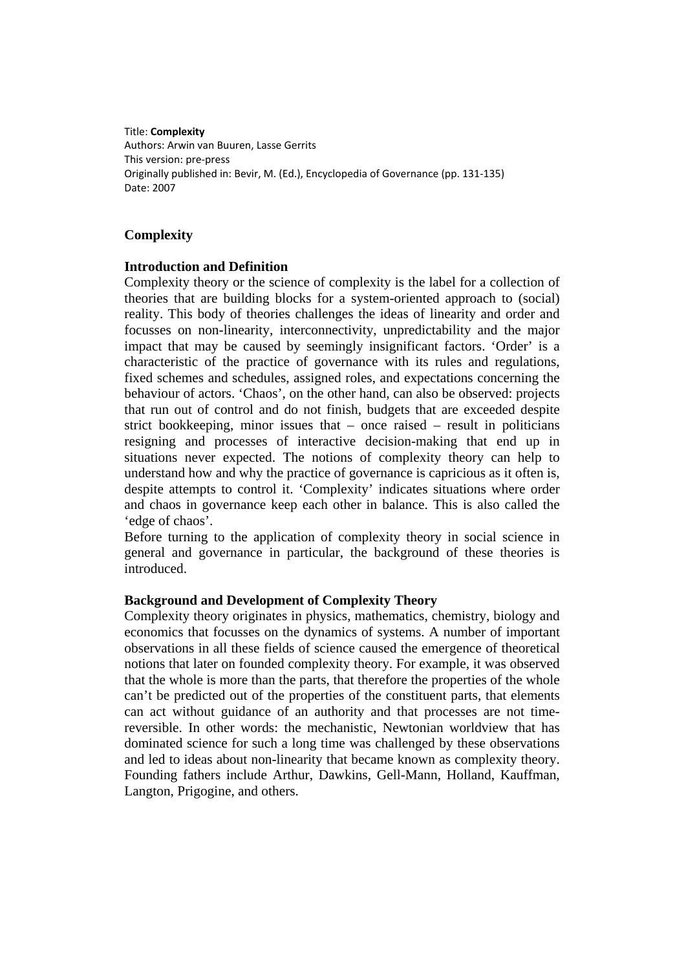Title: **Complexity** Authors: Arwin van Buuren, Lasse Gerrits This version: pre‐press Originally published in: Bevir, M. (Ed.), Encyclopedia of Governance (pp. 131‐135) Date: 2007

# **Complexity**

#### **Introduction and Definition**

Complexity theory or the science of complexity is the label for a collection of theories that are building blocks for a system-oriented approach to (social) reality. This body of theories challenges the ideas of linearity and order and focusses on non-linearity, interconnectivity, unpredictability and the major impact that may be caused by seemingly insignificant factors. 'Order' is a characteristic of the practice of governance with its rules and regulations, fixed schemes and schedules, assigned roles, and expectations concerning the behaviour of actors. 'Chaos', on the other hand, can also be observed: projects that run out of control and do not finish, budgets that are exceeded despite strict bookkeeping, minor issues that – once raised – result in politicians resigning and processes of interactive decision-making that end up in situations never expected. The notions of complexity theory can help to understand how and why the practice of governance is capricious as it often is, despite attempts to control it. 'Complexity' indicates situations where order and chaos in governance keep each other in balance. This is also called the 'edge of chaos'.

Before turning to the application of complexity theory in social science in general and governance in particular, the background of these theories is introduced.

#### **Background and Development of Complexity Theory**

Complexity theory originates in physics, mathematics, chemistry, biology and economics that focusses on the dynamics of systems. A number of important observations in all these fields of science caused the emergence of theoretical notions that later on founded complexity theory. For example, it was observed that the whole is more than the parts, that therefore the properties of the whole can't be predicted out of the properties of the constituent parts, that elements can act without guidance of an authority and that processes are not timereversible. In other words: the mechanistic, Newtonian worldview that has dominated science for such a long time was challenged by these observations and led to ideas about non-linearity that became known as complexity theory. Founding fathers include Arthur, Dawkins, Gell-Mann, Holland, Kauffman, Langton, Prigogine, and others.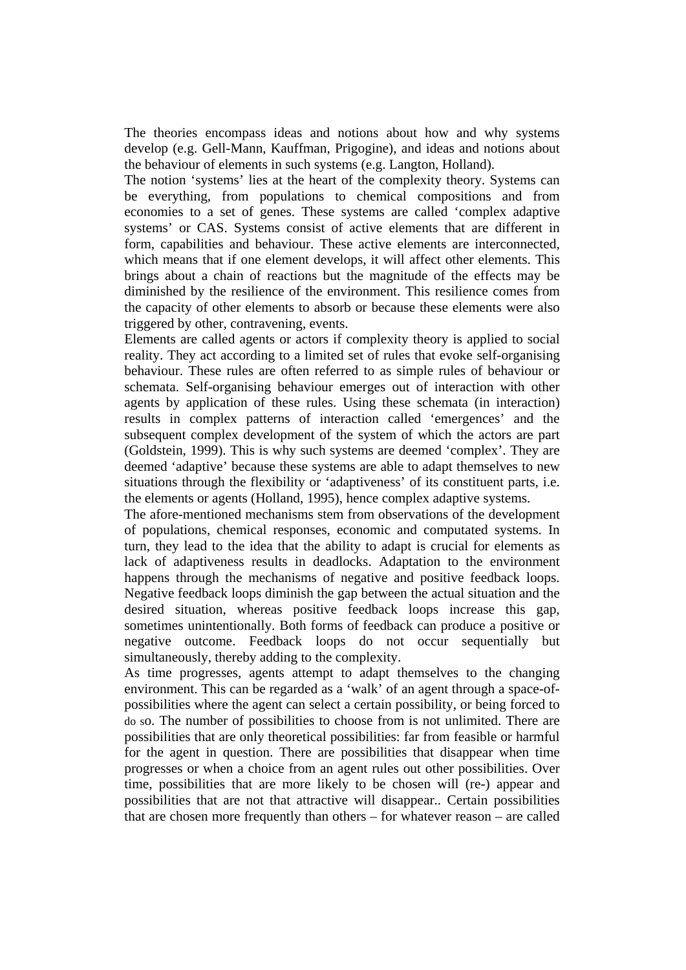The theories encompass ideas and notions about how and why systems develop (e.g. Gell-Mann, Kauffman, Prigogine), and ideas and notions about the behaviour of elements in such systems (e.g. Langton, Holland).

The notion 'systems' lies at the heart of the complexity theory. Systems can be everything, from populations to chemical compositions and from economies to a set of genes. These systems are called 'complex adaptive systems' or CAS. Systems consist of active elements that are different in form, capabilities and behaviour. These active elements are interconnected, which means that if one element develops, it will affect other elements. This brings about a chain of reactions but the magnitude of the effects may be diminished by the resilience of the environment. This resilience comes from the capacity of other elements to absorb or because these elements were also triggered by other, contravening, events.

Elements are called agents or actors if complexity theory is applied to social reality. They act according to a limited set of rules that evoke self-organising behaviour. These rules are often referred to as simple rules of behaviour or schemata. Self-organising behaviour emerges out of interaction with other agents by application of these rules. Using these schemata (in interaction) results in complex patterns of interaction called 'emergences' and the subsequent complex development of the system of which the actors are part (Goldstein, 1999). This is why such systems are deemed 'complex'. They are deemed 'adaptive' because these systems are able to adapt themselves to new situations through the flexibility or 'adaptiveness' of its constituent parts, i.e. the elements or agents (Holland, 1995), hence complex adaptive systems.

The afore-mentioned mechanisms stem from observations of the development of populations, chemical responses, economic and computated systems. In turn, they lead to the idea that the ability to adapt is crucial for elements as lack of adaptiveness results in deadlocks. Adaptation to the environment happens through the mechanisms of negative and positive feedback loops. Negative feedback loops diminish the gap between the actual situation and the desired situation, whereas positive feedback loops increase this gap, sometimes unintentionally. Both forms of feedback can produce a positive or negative outcome. Feedback loops do not occur sequentially but simultaneously, thereby adding to the complexity.

As time progresses, agents attempt to adapt themselves to the changing environment. This can be regarded as a 'walk' of an agent through a space-ofpossibilities where the agent can select a certain possibility, or being forced to do so. The number of possibilities to choose from is not unlimited. There are possibilities that are only theoretical possibilities: far from feasible or harmful for the agent in question. There are possibilities that disappear when time progresses or when a choice from an agent rules out other possibilities. Over time, possibilities that are more likely to be chosen will (re-) appear and possibilities that are not that attractive will disappear.. Certain possibilities that are chosen more frequently than others – for whatever reason – are called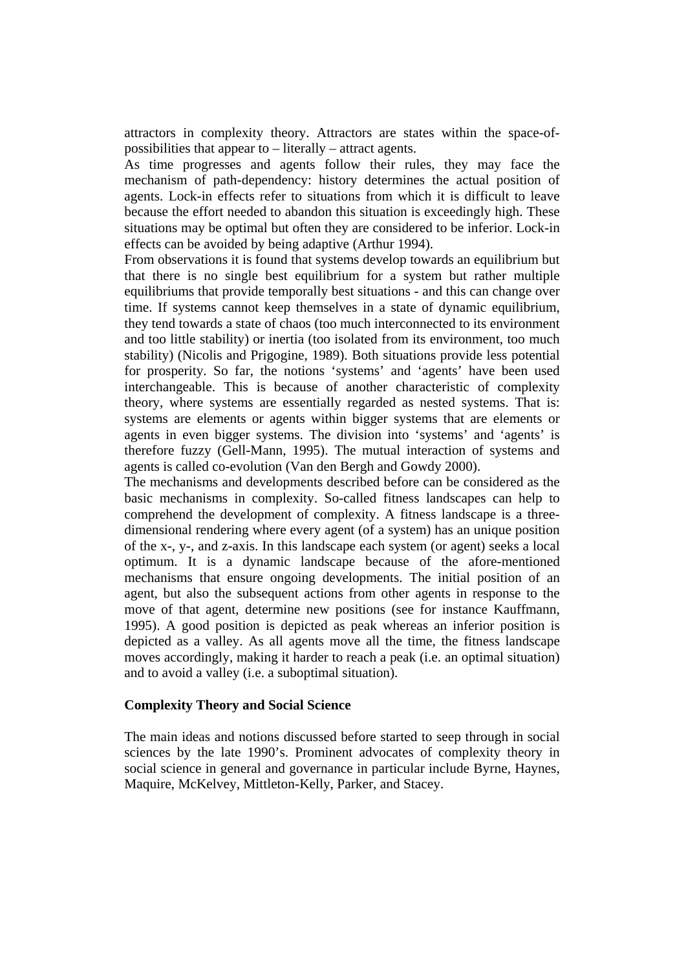attractors in complexity theory. Attractors are states within the space-ofpossibilities that appear to – literally – attract agents.

As time progresses and agents follow their rules, they may face the mechanism of path-dependency: history determines the actual position of agents. Lock-in effects refer to situations from which it is difficult to leave because the effort needed to abandon this situation is exceedingly high. These situations may be optimal but often they are considered to be inferior. Lock-in effects can be avoided by being adaptive (Arthur 1994).

From observations it is found that systems develop towards an equilibrium but that there is no single best equilibrium for a system but rather multiple equilibriums that provide temporally best situations - and this can change over time. If systems cannot keep themselves in a state of dynamic equilibrium, they tend towards a state of chaos (too much interconnected to its environment and too little stability) or inertia (too isolated from its environment, too much stability) (Nicolis and Prigogine, 1989). Both situations provide less potential for prosperity. So far, the notions 'systems' and 'agents' have been used interchangeable. This is because of another characteristic of complexity theory, where systems are essentially regarded as nested systems. That is: systems are elements or agents within bigger systems that are elements or agents in even bigger systems. The division into 'systems' and 'agents' is therefore fuzzy (Gell-Mann, 1995). The mutual interaction of systems and agents is called co-evolution (Van den Bergh and Gowdy 2000).

The mechanisms and developments described before can be considered as the basic mechanisms in complexity. So-called fitness landscapes can help to comprehend the development of complexity. A fitness landscape is a threedimensional rendering where every agent (of a system) has an unique position of the x-, y-, and z-axis. In this landscape each system (or agent) seeks a local optimum. It is a dynamic landscape because of the afore-mentioned mechanisms that ensure ongoing developments. The initial position of an agent, but also the subsequent actions from other agents in response to the move of that agent, determine new positions (see for instance Kauffmann, 1995). A good position is depicted as peak whereas an inferior position is depicted as a valley. As all agents move all the time, the fitness landscape moves accordingly, making it harder to reach a peak (i.e. an optimal situation) and to avoid a valley (i.e. a suboptimal situation).

#### **Complexity Theory and Social Science**

The main ideas and notions discussed before started to seep through in social sciences by the late 1990's. Prominent advocates of complexity theory in social science in general and governance in particular include Byrne, Haynes, Maquire, McKelvey, Mittleton-Kelly, Parker, and Stacey.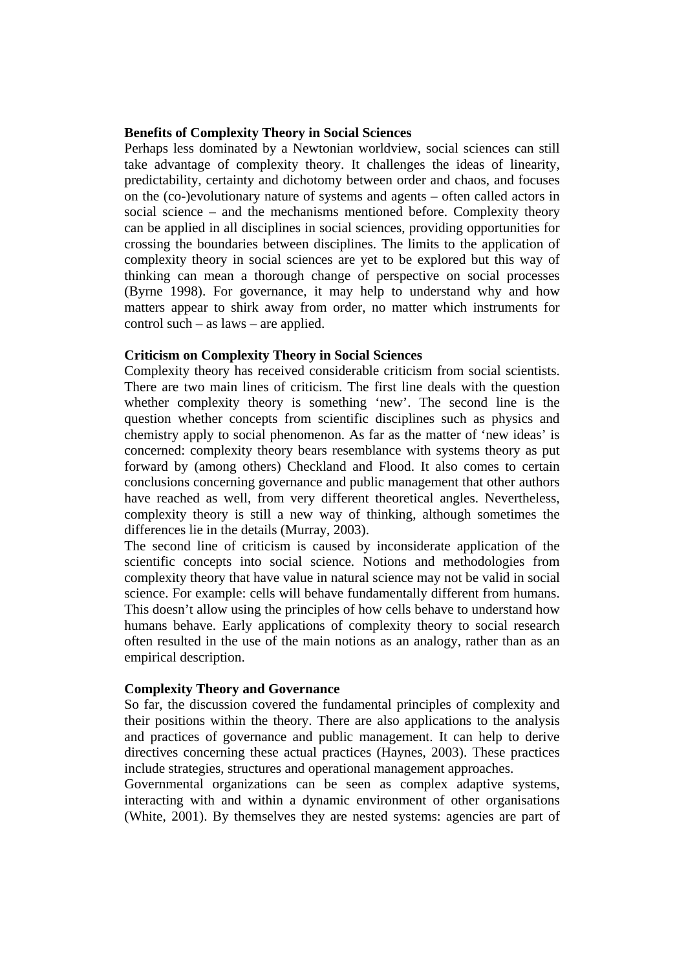### **Benefits of Complexity Theory in Social Sciences**

Perhaps less dominated by a Newtonian worldview, social sciences can still take advantage of complexity theory. It challenges the ideas of linearity, predictability, certainty and dichotomy between order and chaos, and focuses on the (co-)evolutionary nature of systems and agents – often called actors in social science – and the mechanisms mentioned before. Complexity theory can be applied in all disciplines in social sciences, providing opportunities for crossing the boundaries between disciplines. The limits to the application of complexity theory in social sciences are yet to be explored but this way of thinking can mean a thorough change of perspective on social processes (Byrne 1998). For governance, it may help to understand why and how matters appear to shirk away from order, no matter which instruments for control such – as laws – are applied.

#### **Criticism on Complexity Theory in Social Sciences**

Complexity theory has received considerable criticism from social scientists. There are two main lines of criticism. The first line deals with the question whether complexity theory is something 'new'. The second line is the question whether concepts from scientific disciplines such as physics and chemistry apply to social phenomenon. As far as the matter of 'new ideas' is concerned: complexity theory bears resemblance with systems theory as put forward by (among others) Checkland and Flood. It also comes to certain conclusions concerning governance and public management that other authors have reached as well, from very different theoretical angles. Nevertheless, complexity theory is still a new way of thinking, although sometimes the differences lie in the details (Murray, 2003).

The second line of criticism is caused by inconsiderate application of the scientific concepts into social science. Notions and methodologies from complexity theory that have value in natural science may not be valid in social science. For example: cells will behave fundamentally different from humans. This doesn't allow using the principles of how cells behave to understand how humans behave. Early applications of complexity theory to social research often resulted in the use of the main notions as an analogy, rather than as an empirical description.

#### **Complexity Theory and Governance**

So far, the discussion covered the fundamental principles of complexity and their positions within the theory. There are also applications to the analysis and practices of governance and public management. It can help to derive directives concerning these actual practices (Haynes, 2003). These practices include strategies, structures and operational management approaches.

Governmental organizations can be seen as complex adaptive systems, interacting with and within a dynamic environment of other organisations (White, 2001). By themselves they are nested systems: agencies are part of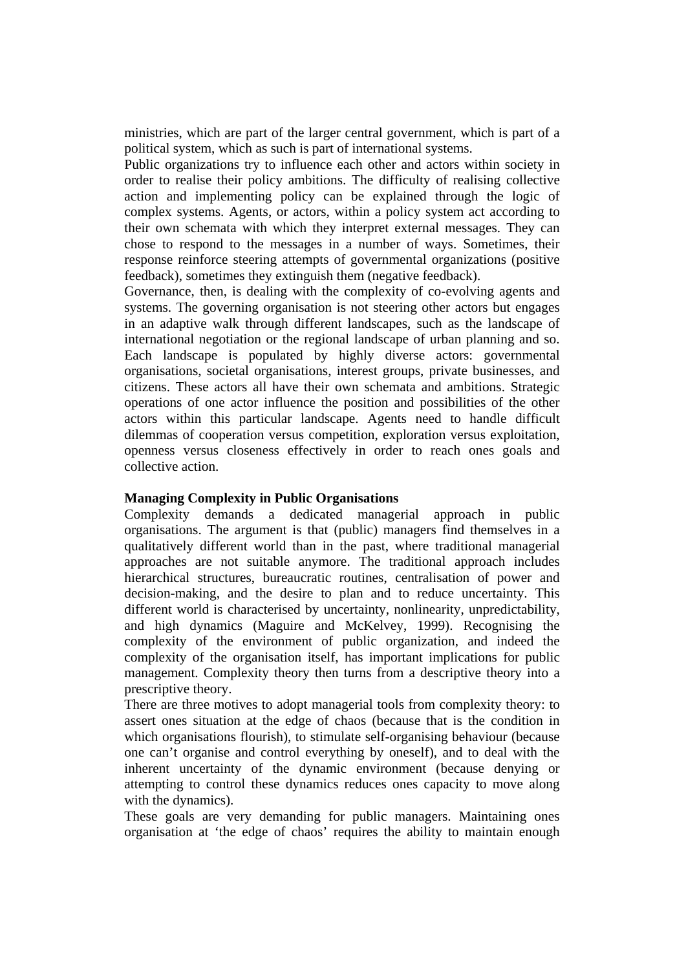ministries, which are part of the larger central government, which is part of a political system, which as such is part of international systems.

Public organizations try to influence each other and actors within society in order to realise their policy ambitions. The difficulty of realising collective action and implementing policy can be explained through the logic of complex systems. Agents, or actors, within a policy system act according to their own schemata with which they interpret external messages. They can chose to respond to the messages in a number of ways. Sometimes, their response reinforce steering attempts of governmental organizations (positive feedback), sometimes they extinguish them (negative feedback).

Governance, then, is dealing with the complexity of co-evolving agents and systems. The governing organisation is not steering other actors but engages in an adaptive walk through different landscapes, such as the landscape of international negotiation or the regional landscape of urban planning and so. Each landscape is populated by highly diverse actors: governmental organisations, societal organisations, interest groups, private businesses, and citizens. These actors all have their own schemata and ambitions. Strategic operations of one actor influence the position and possibilities of the other actors within this particular landscape. Agents need to handle difficult dilemmas of cooperation versus competition, exploration versus exploitation, openness versus closeness effectively in order to reach ones goals and collective action.

#### **Managing Complexity in Public Organisations**

Complexity demands a dedicated managerial approach in public organisations. The argument is that (public) managers find themselves in a qualitatively different world than in the past, where traditional managerial approaches are not suitable anymore. The traditional approach includes hierarchical structures, bureaucratic routines, centralisation of power and decision-making, and the desire to plan and to reduce uncertainty. This different world is characterised by uncertainty, nonlinearity, unpredictability, and high dynamics (Maguire and McKelvey, 1999). Recognising the complexity of the environment of public organization, and indeed the complexity of the organisation itself, has important implications for public management. Complexity theory then turns from a descriptive theory into a prescriptive theory.

There are three motives to adopt managerial tools from complexity theory: to assert ones situation at the edge of chaos (because that is the condition in which organisations flourish), to stimulate self-organising behaviour (because one can't organise and control everything by oneself), and to deal with the inherent uncertainty of the dynamic environment (because denying or attempting to control these dynamics reduces ones capacity to move along with the dynamics).

These goals are very demanding for public managers. Maintaining ones organisation at 'the edge of chaos' requires the ability to maintain enough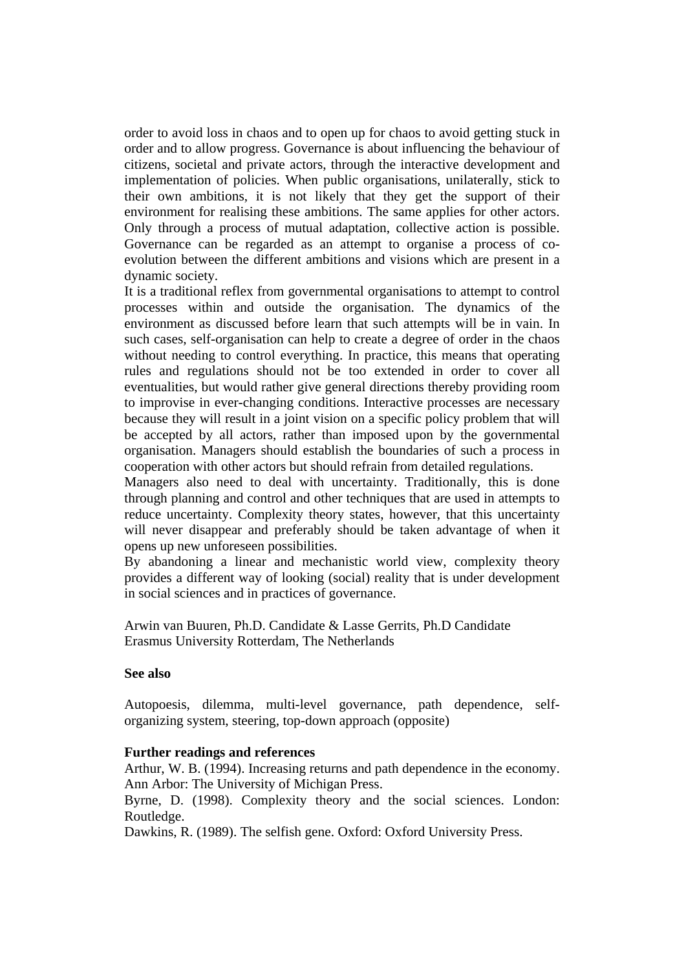order to avoid loss in chaos and to open up for chaos to avoid getting stuck in order and to allow progress. Governance is about influencing the behaviour of citizens, societal and private actors, through the interactive development and implementation of policies. When public organisations, unilaterally, stick to their own ambitions, it is not likely that they get the support of their environment for realising these ambitions. The same applies for other actors. Only through a process of mutual adaptation, collective action is possible. Governance can be regarded as an attempt to organise a process of coevolution between the different ambitions and visions which are present in a dynamic society.

It is a traditional reflex from governmental organisations to attempt to control processes within and outside the organisation. The dynamics of the environment as discussed before learn that such attempts will be in vain. In such cases, self-organisation can help to create a degree of order in the chaos without needing to control everything. In practice, this means that operating rules and regulations should not be too extended in order to cover all eventualities, but would rather give general directions thereby providing room to improvise in ever-changing conditions. Interactive processes are necessary because they will result in a joint vision on a specific policy problem that will be accepted by all actors, rather than imposed upon by the governmental organisation. Managers should establish the boundaries of such a process in cooperation with other actors but should refrain from detailed regulations.

Managers also need to deal with uncertainty. Traditionally, this is done through planning and control and other techniques that are used in attempts to reduce uncertainty. Complexity theory states, however, that this uncertainty will never disappear and preferably should be taken advantage of when it opens up new unforeseen possibilities.

By abandoning a linear and mechanistic world view, complexity theory provides a different way of looking (social) reality that is under development in social sciences and in practices of governance.

Arwin van Buuren, Ph.D. Candidate & Lasse Gerrits, Ph.D Candidate Erasmus University Rotterdam, The Netherlands

## **See also**

Autopoesis, dilemma, multi-level governance, path dependence, selforganizing system, steering, top-down approach (opposite)

#### **Further readings and references**

Arthur, W. B. (1994). Increasing returns and path dependence in the economy. Ann Arbor: The University of Michigan Press.

Byrne, D. (1998). Complexity theory and the social sciences. London: Routledge.

Dawkins, R. (1989). The selfish gene. Oxford: Oxford University Press.